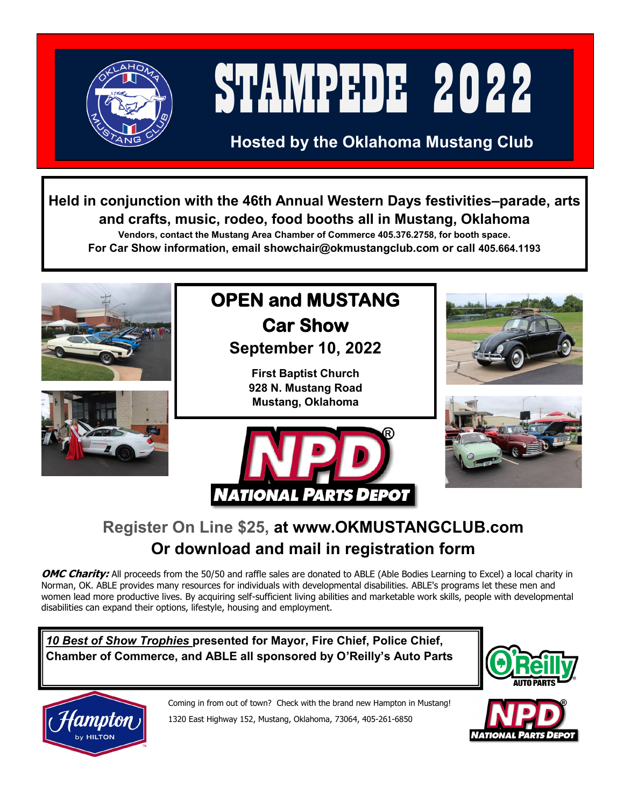

## STAMPEDE 2022

## **Hosted by the Oklahoma Mustang Club**

**Held in conjunction with the 46th Annual Western Days festivities–parade, arts and crafts, music, rodeo, food booths all in Mustang, Oklahoma**

**Vendors, contact the Mustang Area Chamber of Commerce 405.376.2758, for booth space. For Car Show information, email showchair@okmustangclub.com or call 405.664.1193**



## **Register On Line \$25, at www.OKMUSTANGCLUB.com Or download and mail in registration form**

**OMC Charity:** All proceeds from the 50/50 and raffle sales are donated to ABLE (Able Bodies Learning to Excel) a local charity in Norman, OK. ABLE provides many resources for individuals with developmental disabilities. ABLE's programs let these men and women lead more productive lives. By acquiring self-sufficient living abilities and marketable work skills, people with developmental disabilities can expand their options, lifestyle, housing and employment.

*10 Best of Show Trophies* **presented for Mayor, Fire Chief, Police Chief, Chamber of Commerce, and ABLE all sponsored by O'Reilly's Auto Parts** 





Coming in from out of town? Check with the brand new Hampton in Mustang!

1320 East Highway 152, Mustang, Oklahoma, 73064, 405-261-6850